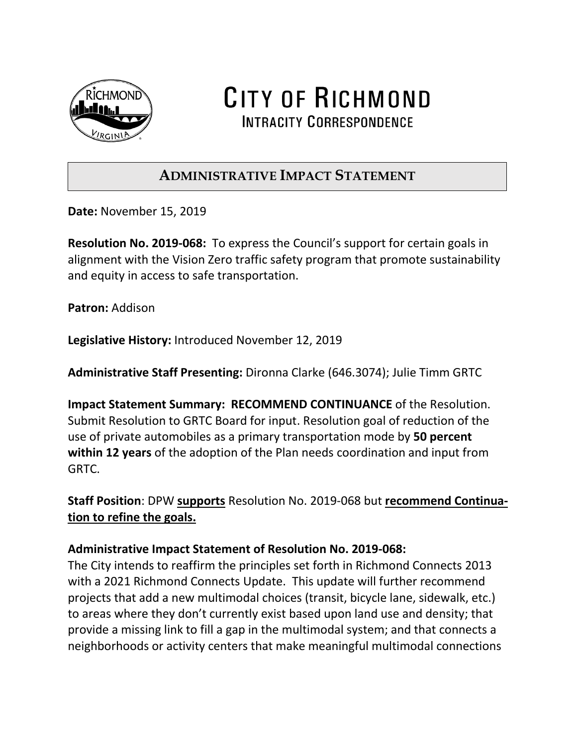

CITY OF RICHMOND **INTRACITY CORRESPONDENCE** 

## **ADMINISTRATIVE IMPACT STATEMENT**

**Date:** November 15, 2019

**Resolution No. 2019-068:** To express the Council's support for certain goals in alignment with the Vision Zero traffic safety program that promote sustainability and equity in access to safe transportation.

**Patron:** Addison

**Legislative History:** Introduced November 12, 2019

**Administrative Staff Presenting:** Dironna Clarke (646.3074); Julie Timm GRTC

**Impact Statement Summary: RECOMMEND CONTINUANCE** of the Resolution. Submit Resolution to GRTC Board for input. Resolution goal of reduction of the use of private automobiles as a primary transportation mode by **50 percent within 12 years** of the adoption of the Plan needs coordination and input from GRTC.

**Staff Position**: DPW **supports** Resolution No. 2019-068 but **recommend Continuation to refine the goals.** 

## **Administrative Impact Statement of Resolution No. 2019-068:**

The City intends to reaffirm the principles set forth in Richmond Connects 2013 with a 2021 Richmond Connects Update. This update will further recommend projects that add a new multimodal choices (transit, bicycle lane, sidewalk, etc.) to areas where they don't currently exist based upon land use and density; that provide a missing link to fill a gap in the multimodal system; and that connects a neighborhoods or activity centers that make meaningful multimodal connections